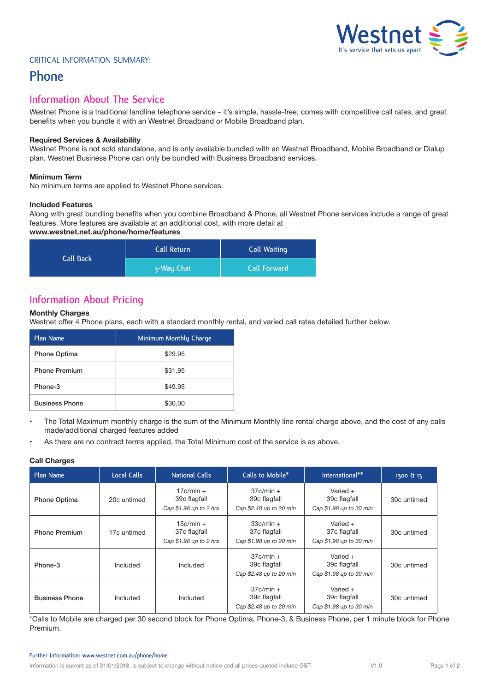# 'estnet **It's service that sets us apart**

#### Critical Information Summary:

## **Phone**

### **Information About The Service**

Westnet Phone is a traditional landline telephone service – it's simple, hassle-free, comes with competitive call rates, and great benefits when you bundle it with an Westnet Broadband or Mobile Broadband plan.

#### **Required Services & Availability**

Westnet Phone is not sold standalone, and is only available bundled with an Westnet Broadband, Mobile Broadband or Dialup plan. Westnet Business Phone can only be bundled with Business Broadband services.

#### **Minimum Term**

No minimum terms are applied to Westnet Phone services.

#### **Included Features**

Along with great bundling benefits when you combine Broadband & Phone, all Westnet Phone services include a range of great features. More features are available at an additional cost, with more detail at

#### **www.westnet.net.au/phone/home/features**

| Call Back | Call Return | Call Waiting |  |
|-----------|-------------|--------------|--|
|           | 3-Way Chat  | Call Forward |  |

## **Information About Pricing**

#### **Monthly Charges**

Westnet offer 4 Phone plans, each with a standard monthly rental, and varied call rates detailed further below.

| Plan Name             | Minimum Monthly Charge |
|-----------------------|------------------------|
| <b>Phone Optima</b>   | \$29.95                |
| <b>Phone Premium</b>  | \$31.95                |
| Phone-3               | \$49.95                |
| <b>Business Phone</b> | \$30.00                |

- The Total Maximum monthly charge is the sum of the Minimum Monthly line rental charge above, and the cost of any calls made/additional charged features added
- As there are no contract terms applied, the Total Minimum cost of the service is as above.

#### **Call Charges**

| Plan Name             | <b>Local Calls</b> | National Calls                                        | Calls to Mobile*                                       | International**                                       | 1300 & 13   |
|-----------------------|--------------------|-------------------------------------------------------|--------------------------------------------------------|-------------------------------------------------------|-------------|
| <b>Phone Optima</b>   | 20c untimed        | $17c/min +$<br>39c flagfall<br>Cap \$1.98 up to 2 hrs | $37c/min +$<br>39c flagfall<br>Cap \$2.48 up to 20 min | Varied $+$<br>39c flagfall<br>Cap \$1.98 up to 30 min | 30c untimed |
| <b>Phone Premium</b>  | 17c untimed        | $15c/min +$<br>37c flagfall<br>Cap \$1.98 up to 2 hrs | $33c/min +$<br>37c flagfall<br>Cap \$1.98 up to 20 min | Varied $+$<br>37c flagfall<br>Cap \$1.98 up to 30 min | 30c untimed |
| Phone-3               | Included           | Included                                              | $37c/min +$<br>39c flagfall<br>Cap \$2.48 up to 20 min | Varied $+$<br>39c flagfall<br>Cap \$1.98 up to 30 min | 30c untimed |
| <b>Business Phone</b> | Included           | Included                                              | $37c/min +$<br>39c flagfall<br>Cap \$2.48 up to 20 min | Varied $+$<br>39c flagfall<br>Cap \$1.98 up to 30 min | 30c untimed |

\*Calls to Mobile are charged per 30 second block for Phone Optima, Phone-3, & Business Phone, per 1 minute block for Phone Premium.

#### **Further information: www.westnet.com.au/phone/home**